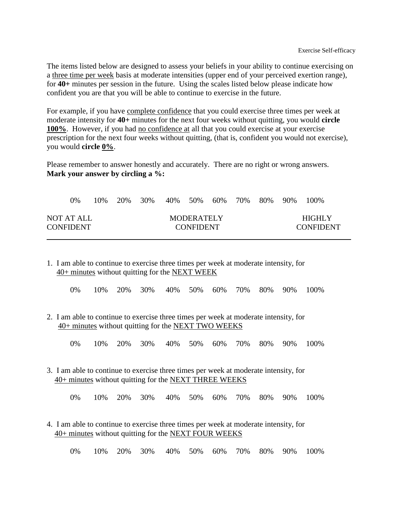The items listed below are designed to assess your beliefs in your ability to continue exercising on a three time per week basis at moderate intensities (upper end of your perceived exertion range), for **40+** minutes per session in the future. Using the scales listed below please indicate how confident you are that you will be able to continue to exercise in the future.

For example, if you have complete confidence that you could exercise three times per week at moderate intensity for **40+** minutes for the next four weeks without quitting, you would **circle 100%**. However, if you had no confidence at all that you could exercise at your exercise prescription for the next four weeks without quitting, (that is, confident you would not exercise), you would **circle 0%**.

Please remember to answer honestly and accurately. There are no right or wrong answers. **Mark your answer by circling a %:**

|                                | 0% | 10% | 20% | 30% | 40% | .50%                           |  | 60% 70% 80% | $90\%$ | 100%                       |
|--------------------------------|----|-----|-----|-----|-----|--------------------------------|--|-------------|--------|----------------------------|
| NOT AT ALL<br><b>CONFIDENT</b> |    |     |     |     |     | MODERATELY<br><b>CONFIDENT</b> |  |             |        | HIGHLY<br><b>CONFIDENT</b> |

1. I am able to continue to exercise three times per week at moderate intensity, for 40+ minutes without quitting for the NEXT WEEK

|  | 0% 10% 20% 30% 40% 50% 60% 70% 80% 90% 100% |  |  |  |  |
|--|---------------------------------------------|--|--|--|--|
|  |                                             |  |  |  |  |

2. I am able to continue to exercise three times per week at moderate intensity, for 40+ minutes without quitting for the NEXT TWO WEEKS

0% 10% 20% 30% 40% 50% 60% 70% 80% 90% 100%

3. I am able to continue to exercise three times per week at moderate intensity, for 40+ minutes without quitting for the NEXT THREE WEEKS

0% 10% 20% 30% 40% 50% 60% 70% 80% 90% 100%

4. I am able to continue to exercise three times per week at moderate intensity, for 40+ minutes without quitting for the NEXT FOUR WEEKS

0% 10% 20% 30% 40% 50% 60% 70% 80% 90% 100%